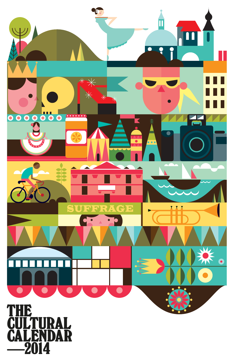